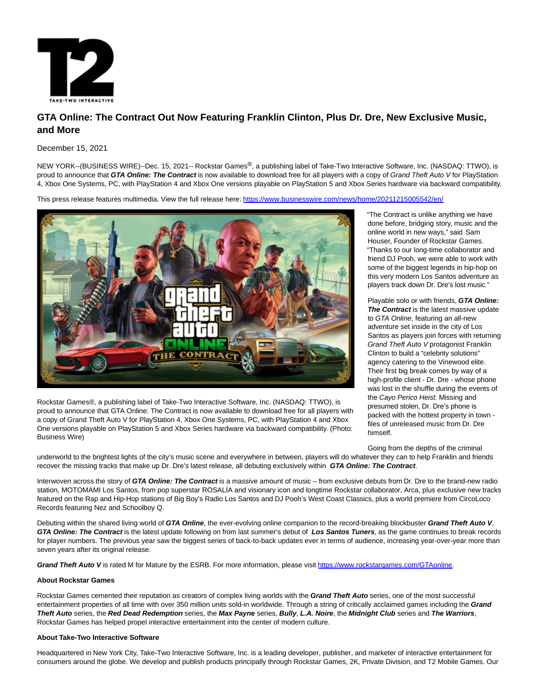

## **GTA Online: The Contract Out Now Featuring Franklin Clinton, Plus Dr. Dre, New Exclusive Music, and More**

December 15, 2021

NEW YORK--(BUSINESS WIRE)--Dec. 15, 2021-- Rockstar Games®, a publishing label of Take-Two Interactive Software, Inc. (NASDAQ: TTWO), is proud to announce that **GTA Online: The Contract** is now available to download free for all players with a copy of Grand Theft Auto V for PlayStation 4, Xbox One Systems, PC, with PlayStation 4 and Xbox One versions playable on PlayStation 5 and Xbox Series hardware via backward compatibility.

This press release features multimedia. View the full release here:<https://www.businesswire.com/news/home/20211215005542/en/>



Rockstar Games®, a publishing label of Take-Two Interactive Software, Inc. (NASDAQ: TTWO), is proud to announce that GTA Online: The Contract is now available to download free for all players with a copy of Grand Theft Auto V for PlayStation 4, Xbox One Systems, PC, with PlayStation 4 and Xbox One versions playable on PlayStation 5 and Xbox Series hardware via backward compatibility. (Photo: Business Wire)

"The Contract is unlike anything we have done before, bridging story, music and the online world in new ways," said Sam Houser, Founder of Rockstar Games. "Thanks to our long-time collaborator and friend DJ Pooh, we were able to work with some of the biggest legends in hip-hop on this very modern Los Santos adventure as players track down Dr. Dre's lost music."

Playable solo or with friends, **GTA Online: The Contract** is the latest massive update to GTA Online, featuring an all-new adventure set inside in the city of Los Santos as players join forces with returning Grand Theft Auto V protagonist Franklin Clinton to build a "celebrity solutions" agency catering to the Vinewood elite. Their first big break comes by way of a high-profile client - Dr. Dre - whose phone was lost in the shuffle during the events of the Cayo Perico Heist. Missing and presumed stolen, Dr. Dre's phone is packed with the hottest property in town files of unreleased music from Dr. Dre himself.

Going from the depths of the criminal

underworld to the brightest lights of the city's music scene and everywhere in between, players will do whatever they can to help Franklin and friends recover the missing tracks that make up Dr. Dre's latest release, all debuting exclusively within **GTA Online: The Contract**.

Interwoven across the story of **GTA Online: The Contract** is a massive amount of music – from exclusive debuts from Dr. Dre to the brand-new radio station, MOTOMAMI Los Santos, from pop superstar ROSALÍA and visionary icon and longtime Rockstar collaborator, Arca, plus exclusive new tracks featured on the Rap and Hip-Hop stations of Big Boy's Radio Los Santos and DJ Pooh's West Coast Classics, plus a world premiere from CircoLoco Records featuring Nez and Schoolboy Q.

Debuting within the shared living world of **GTA Online**, the ever-evolving online companion to the record-breaking blockbuster **Grand Theft Auto V**, GTA Online: The Contract is the latest update following on from last summer's debut of Los Santos Tuners, as the game continues to break records for player numbers. The previous year saw the biggest series of back-to-back updates ever in terms of audience, increasing year-over-year more than seven years after its original release.

**Grand Theft Auto V** is rated M for Mature by the ESRB. For more information, please visit [https://www.rockstargames.com/GTAonline.](https://cts.businesswire.com/ct/CT?id=smartlink&url=https%3A%2F%2Fwww.rockstargames.com%2FGTAonline&esheet=52551218&newsitemid=20211215005542&lan=en-US&anchor=https%3A%2F%2Fwww.rockstargames.com%2FGTAonline&index=1&md5=24b21651beeea479b53084c336623cbe)

## **About Rockstar Games**

Rockstar Games cemented their reputation as creators of complex living worlds with the **Grand Theft Auto** series, one of the most successful entertainment properties of all time with over 350 million units sold-in worldwide. Through a string of critically acclaimed games including the **Grand Theft Auto** series, the **Red Dead Redemption** series, the **Max Payne** series, **Bully**, **L.A. Noire**, the **Midnight Club** series and **The Warriors**, Rockstar Games has helped propel interactive entertainment into the center of modern culture.

## **About Take-Two Interactive Software**

Headquartered in New York City, Take-Two Interactive Software, Inc. is a leading developer, publisher, and marketer of interactive entertainment for consumers around the globe. We develop and publish products principally through Rockstar Games, 2K, Private Division, and T2 Mobile Games. Our